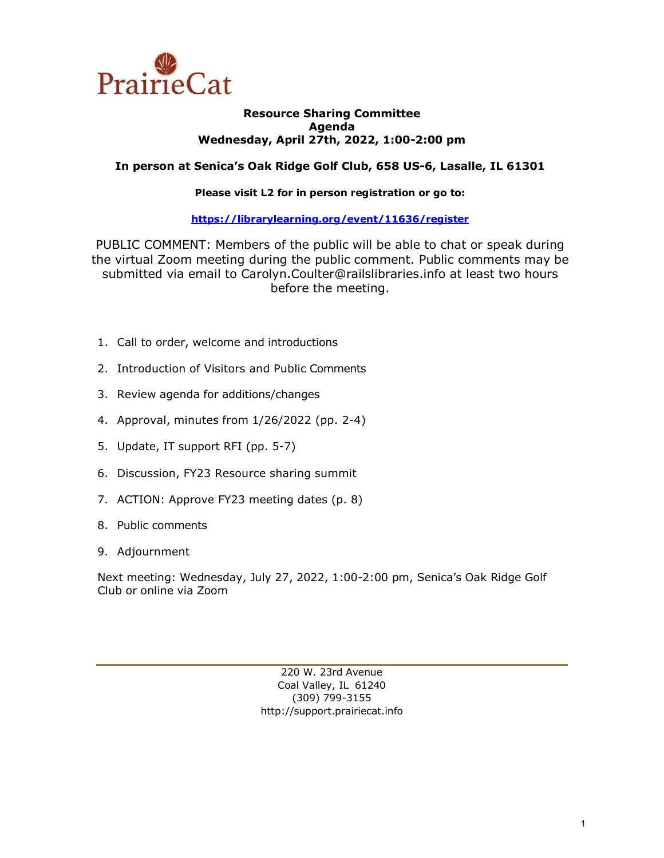

#### **Resource Sharing Committee Agenda Wednesday, April 27th, 2022, 1:00-2:00 pm**

### **In person at Senica's Oak Ridge Golf Club, 658 US-6, Lasalle, IL 61301**

### **Please visit L2 for in person registration or go to:**

### **<https://librarylearning.org/event/11636/register>**

PUBLIC COMMENT: Members of the public will be able to chat or speak during the virtual Zoom meeting during the public comment. Public comments may be submitted via email to Carolyn.Coulter@railslibraries.info at least two hours before the meeting.

- 1. Call to order, welcome and introductions
- 2. Introduction of Visitors and Public Comments
- 3. Review agenda for additions/changes
- 4. Approval, minutes from 1/26/2022 (pp. 2-4)
- 5. Update, IT support RFI (pp. 5-7)
- 6. Discussion, FY23 Resource sharing summit
- 7. ACTION: Approve FY23 meeting dates (p. 8)
- 8. Public comments
- 9. Adjournment

Next meeting: Wednesday, July 27, 2022, 1:00-2:00 pm, Senica's Oak Ridge Golf Club or online via Zoom

> 220 W. 23rd Avenue Coal Valley, IL 61240 (309) 799-3155 [http://support.prairiecat.info](http://support.prairiecat.info/)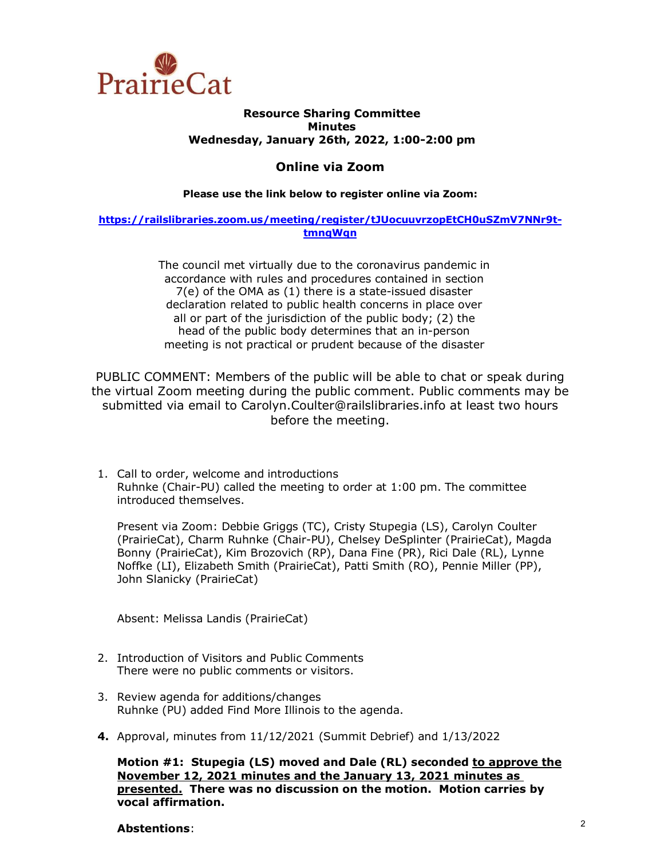

#### **Resource Sharing Committee Minutes Wednesday, January 26th, 2022, 1:00-2:00 pm**

### **Online via Zoom**

#### **Please use the link below to register online via Zoom:**

#### **[https://railslibraries.zoom.us/meeting/register/tJUocuuvrzopEtCH0uSZmV7NNr9t](https://railslibraries.zoom.us/meeting/register/tJUocuuvrzopEtCH0uSZmV7NNr9t-tmnqWqn)[tmnqWqn](https://railslibraries.zoom.us/meeting/register/tJUocuuvrzopEtCH0uSZmV7NNr9t-tmnqWqn)**

The council met virtually due to the coronavirus pandemic in accordance with rules and procedures contained in section 7(e) of the OMA as (1) there is a state-issued disaster declaration related to public health concerns in place over all or part of the jurisdiction of the public body; (2) the head of the public body determines that an in-person meeting is not practical or prudent because of the disaster

PUBLIC COMMENT: Members of the public will be able to chat or speak during the virtual Zoom meeting during the public comment. Public comments may be submitted via email to Carolyn.Coulter@railslibraries.info at least two hours before the meeting.

1. Call to order, welcome and introductions Ruhnke (Chair-PU) called the meeting to order at 1:00 pm. The committee introduced themselves.

Present via Zoom: Debbie Griggs (TC), Cristy Stupegia (LS), Carolyn Coulter (PrairieCat), Charm Ruhnke (Chair-PU), Chelsey DeSplinter (PrairieCat), Magda Bonny (PrairieCat), Kim Brozovich (RP), Dana Fine (PR), Rici Dale (RL), Lynne Noffke (LI), Elizabeth Smith (PrairieCat), Patti Smith (RO), Pennie Miller (PP), John Slanicky (PrairieCat)

Absent: Melissa Landis (PrairieCat)

- 2. Introduction of Visitors and Public Comments There were no public comments or visitors.
- 3. Review agenda for additions/changes Ruhnke (PU) added Find More Illinois to the agenda.
- **4.** Approval, minutes from 11/12/2021 (Summit Debrief) and 1/13/2022

**Motion #1: Stupegia (LS) moved and Dale (RL) seconded to approve the November 12, 2021 minutes and the January 13, 2021 minutes as presented. There was no discussion on the motion. Motion carries by vocal affirmation.** 

### **Abstentions**: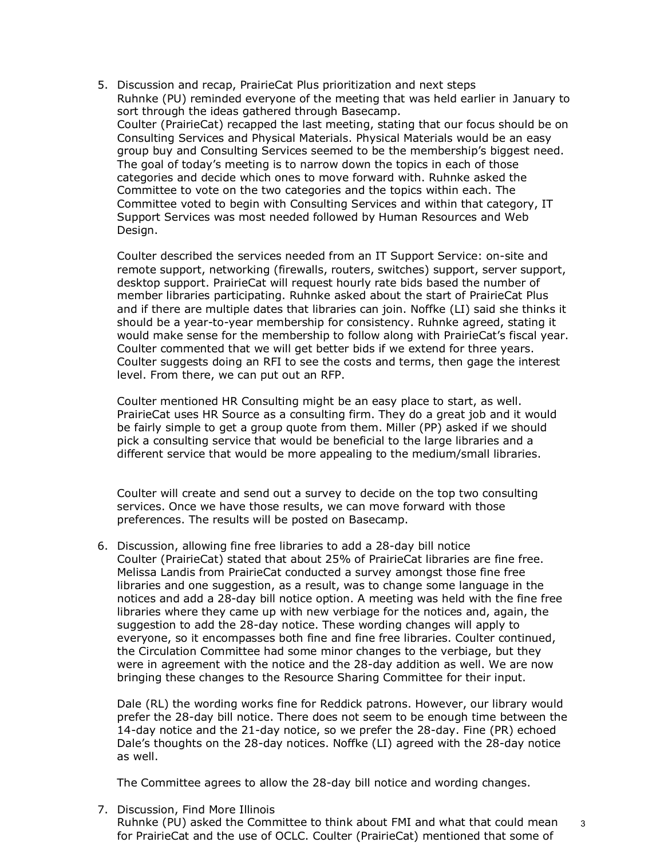5. Discussion and recap, PrairieCat Plus prioritization and next steps Ruhnke (PU) reminded everyone of the meeting that was held earlier in January to sort through the ideas gathered through Basecamp. Coulter (PrairieCat) recapped the last meeting, stating that our focus should be on Consulting Services and Physical Materials. Physical Materials would be an easy group buy and Consulting Services seemed to be the membership's biggest need. The goal of today's meeting is to narrow down the topics in each of those categories and decide which ones to move forward with. Ruhnke asked the Committee to vote on the two categories and the topics within each. The Committee voted to begin with Consulting Services and within that category, IT Support Services was most needed followed by Human Resources and Web Design.

Coulter described the services needed from an IT Support Service: on-site and remote support, networking (firewalls, routers, switches) support, server support, desktop support. PrairieCat will request hourly rate bids based the number of member libraries participating. Ruhnke asked about the start of PrairieCat Plus and if there are multiple dates that libraries can join. Noffke (LI) said she thinks it should be a year-to-year membership for consistency. Ruhnke agreed, stating it would make sense for the membership to follow along with PrairieCat's fiscal year. Coulter commented that we will get better bids if we extend for three years. Coulter suggests doing an RFI to see the costs and terms, then gage the interest level. From there, we can put out an RFP.

Coulter mentioned HR Consulting might be an easy place to start, as well. PrairieCat uses HR Source as a consulting firm. They do a great job and it would be fairly simple to get a group quote from them. Miller (PP) asked if we should pick a consulting service that would be beneficial to the large libraries and a different service that would be more appealing to the medium/small libraries.

Coulter will create and send out a survey to decide on the top two consulting services. Once we have those results, we can move forward with those preferences. The results will be posted on Basecamp.

6. Discussion, allowing fine free libraries to add a 28-day bill notice Coulter (PrairieCat) stated that about 25% of PrairieCat libraries are fine free. Melissa Landis from PrairieCat conducted a survey amongst those fine free libraries and one suggestion, as a result, was to change some language in the notices and add a 28-day bill notice option. A meeting was held with the fine free libraries where they came up with new verbiage for the notices and, again, the suggestion to add the 28-day notice. These wording changes will apply to everyone, so it encompasses both fine and fine free libraries. Coulter continued, the Circulation Committee had some minor changes to the verbiage, but they were in agreement with the notice and the 28-day addition as well. We are now bringing these changes to the Resource Sharing Committee for their input.

Dale (RL) the wording works fine for Reddick patrons. However, our library would prefer the 28-day bill notice. There does not seem to be enough time between the 14-day notice and the 21-day notice, so we prefer the 28-day. Fine (PR) echoed Dale's thoughts on the 28-day notices. Noffke (LI) agreed with the 28-day notice as well.

The Committee agrees to allow the 28-day bill notice and wording changes.

7. Discussion, Find More Illinois

Ruhnke (PU) asked the Committee to think about FMI and what that could mean for PrairieCat and the use of OCLC. Coulter (PrairieCat) mentioned that some of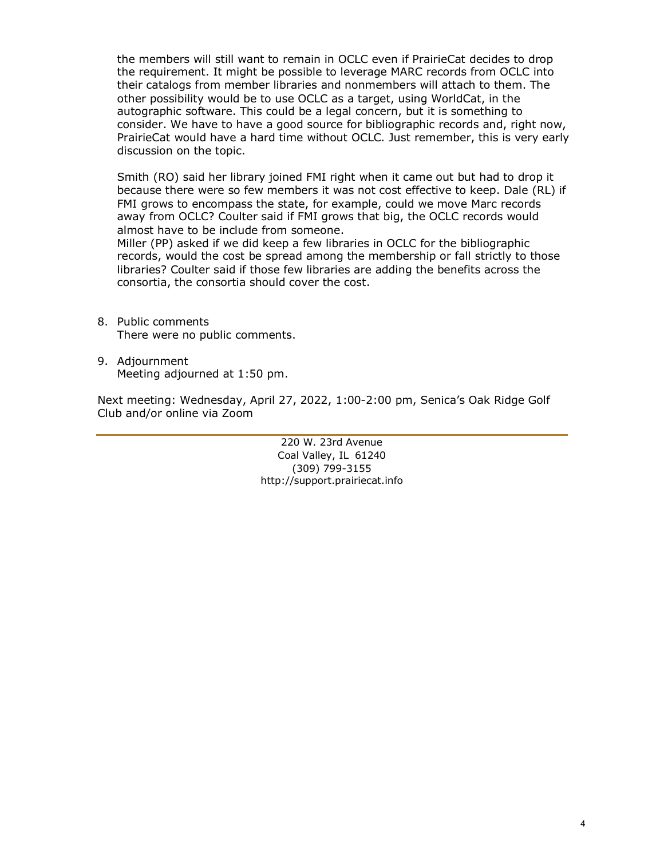the members will still want to remain in OCLC even if PrairieCat decides to drop the requirement. It might be possible to leverage MARC records from OCLC into their catalogs from member libraries and nonmembers will attach to them. The other possibility would be to use OCLC as a target, using WorldCat, in the autographic software. This could be a legal concern, but it is something to consider. We have to have a good source for bibliographic records and, right now, PrairieCat would have a hard time without OCLC. Just remember, this is very early discussion on the topic.

Smith (RO) said her library joined FMI right when it came out but had to drop it because there were so few members it was not cost effective to keep. Dale (RL) if FMI grows to encompass the state, for example, could we move Marc records away from OCLC? Coulter said if FMI grows that big, the OCLC records would almost have to be include from someone.

Miller (PP) asked if we did keep a few libraries in OCLC for the bibliographic records, would the cost be spread among the membership or fall strictly to those libraries? Coulter said if those few libraries are adding the benefits across the consortia, the consortia should cover the cost.

- 8. Public comments There were no public comments.
- 9. Adjournment Meeting adjourned at 1:50 pm.

Next meeting: Wednesday, April 27, 2022, 1:00-2:00 pm, Senica's Oak Ridge Golf Club and/or online via Zoom

> 220 W. 23rd Avenue Coal Valley, IL 61240 (309) 799-3155 [http://support.prairiecat.info](http://support.prairiecat.info/)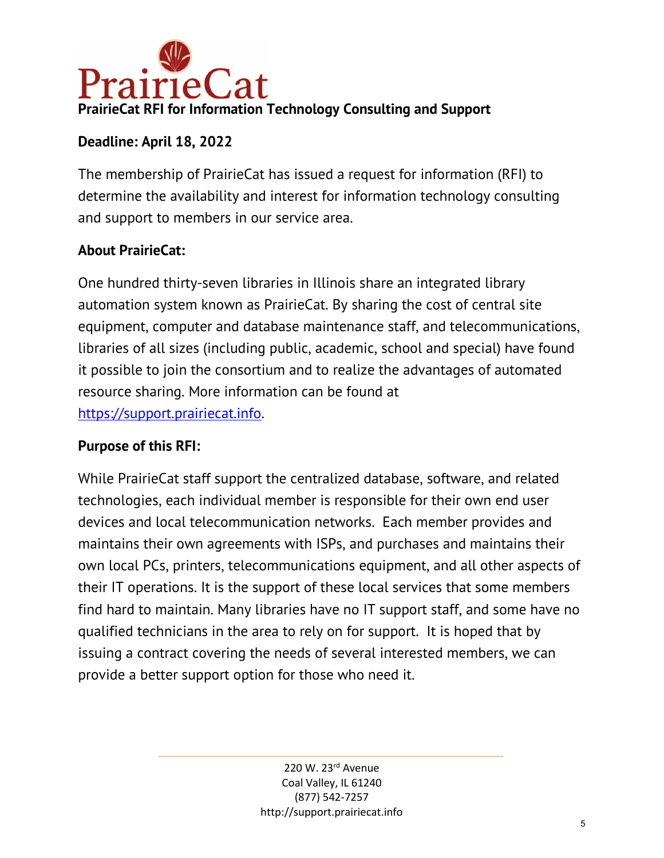

# **Deadline: April 18, 2022**

The membership of PrairieCat has issued a request for information (RFI) to determine the availability and interest for information technology consulting and support to members in our service area.

# **About PrairieCat:**

One hundred thirty-seven libraries in Illinois share an integrated library automation system known as PrairieCat. By sharing the cost of central site equipment, computer and database maintenance staff, and telecommunications, libraries of all sizes (including public, academic, school and special) have found it possible to join the consortium and to realize the advantages of automated resource sharing. More information can be found at [https://support.prairiecat.info.](https://support.prairiecat.info/)

## **Purpose of this RFI:**

While PrairieCat staff support the centralized database, software, and related technologies, each individual member is responsible for their own end user devices and local telecommunication networks. Each member provides and maintains their own agreements with ISPs, and purchases and maintains their own local PCs, printers, telecommunications equipment, and all other aspects of their IT operations. It is the support of these local services that some members find hard to maintain. Many libraries have no IT support staff, and some have no qualified technicians in the area to rely on for support. It is hoped that by issuing a contract covering the needs of several interested members, we can provide a better support option for those who need it.

> 220 W. 23rd Avenue Coal Valley, IL 61240 (877) 542-7257 http://support.prairiecat.info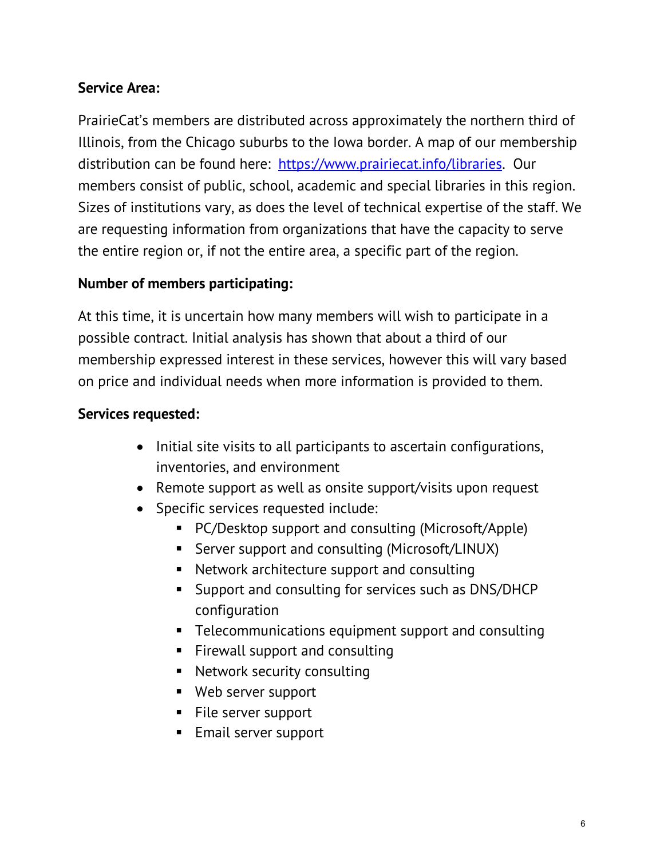# **Service Area:**

PrairieCat's members are distributed across approximately the northern third of Illinois, from the Chicago suburbs to the Iowa border. A map of our membership distribution can be found here: [https://www.prairiecat.info/libraries.](https://www.prairiecat.info/libraries) Our members consist of public, school, academic and special libraries in this region. Sizes of institutions vary, as does the level of technical expertise of the staff. We are requesting information from organizations that have the capacity to serve the entire region or, if not the entire area, a specific part of the region.

## **Number of members participating:**

At this time, it is uncertain how many members will wish to participate in a possible contract. Initial analysis has shown that about a third of our membership expressed interest in these services, however this will vary based on price and individual needs when more information is provided to them.

## **Services requested:**

- Initial site visits to all participants to ascertain configurations, inventories, and environment
- Remote support as well as onsite support/visits upon request
- Specific services requested include:
	- PC/Desktop support and consulting (Microsoft/Apple)
	- **Server support and consulting (Microsoft/LINUX)**
	- Network architecture support and consulting
	- **Support and consulting for services such as DNS/DHCP** configuration
	- **F** Telecommunications equipment support and consulting
	- **Firewall support and consulting**
	- Network security consulting
	- Web server support
	- **File server support**
	- **Email server support**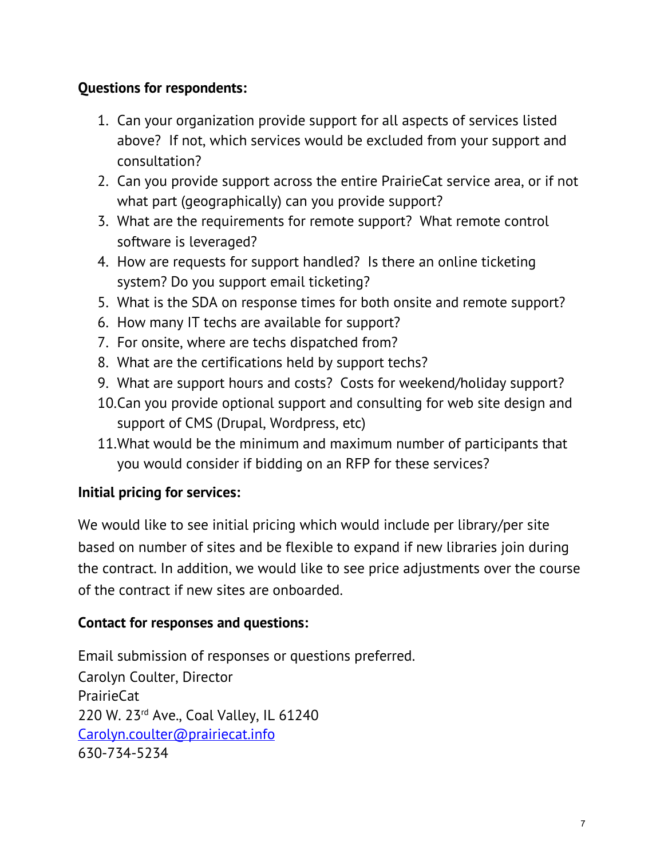# **Questions for respondents:**

- 1. Can your organization provide support for all aspects of services listed above? If not, which services would be excluded from your support and consultation?
- 2. Can you provide support across the entire PrairieCat service area, or if not what part (geographically) can you provide support?
- 3. What are the requirements for remote support? What remote control software is leveraged?
- 4. How are requests for support handled? Is there an online ticketing system? Do you support email ticketing?
- 5. What is the SDA on response times for both onsite and remote support?
- 6. How many IT techs are available for support?
- 7. For onsite, where are techs dispatched from?
- 8. What are the certifications held by support techs?
- 9. What are support hours and costs? Costs for weekend/holiday support?
- 10.Can you provide optional support and consulting for web site design and support of CMS (Drupal, Wordpress, etc)
- 11.What would be the minimum and maximum number of participants that you would consider if bidding on an RFP for these services?

# **Initial pricing for services:**

We would like to see initial pricing which would include per library/per site based on number of sites and be flexible to expand if new libraries join during the contract. In addition, we would like to see price adjustments over the course of the contract if new sites are onboarded.

## **Contact for responses and questions:**

Email submission of responses or questions preferred. Carolyn Coulter, Director PrairieCat 220 W. 23rd Ave., Coal Valley, IL 61240 [Carolyn.coulter@prairiecat.info](mailto:Carolyn.coulter@prairiecat.info) 630-734-5234